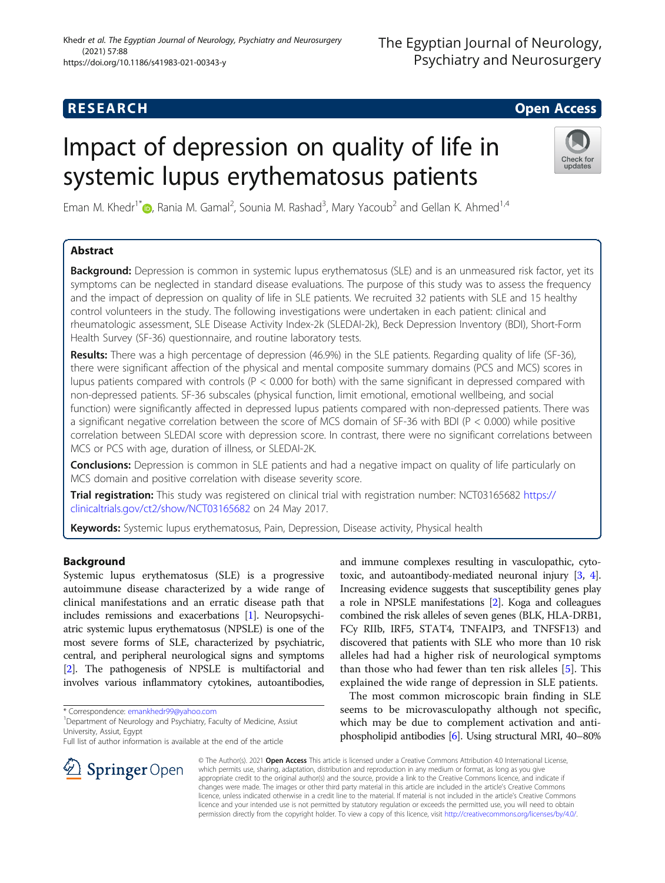# **RESEARCH CHEAR CHEAR CHEAR CHEAR CHEAR CHEAR CHEAR CHEAR CHEAR CHEAR CHEAR CHEAR CHEAR CHEAR CHEAR CHEAR CHEAR**

# Impact of depression on quality of life in systemic lupus erythematosus patients



Eman M. Khedr<sup>1[\\*](http://orcid.org/0000-0001-5679-9833)</sup> , Rania M. Gamal<sup>2</sup>, Sounia M. Rashad<sup>3</sup>, Mary Yacoub<sup>2</sup> and Gellan K. Ahmed<sup>1,4</sup>

## Abstract

Background: Depression is common in systemic lupus erythematosus (SLE) and is an unmeasured risk factor, yet its symptoms can be neglected in standard disease evaluations. The purpose of this study was to assess the frequency and the impact of depression on quality of life in SLE patients. We recruited 32 patients with SLE and 15 healthy control volunteers in the study. The following investigations were undertaken in each patient: clinical and rheumatologic assessment, SLE Disease Activity Index-2k (SLEDAI-2k), Beck Depression Inventory (BDI), Short-Form Health Survey (SF-36) questionnaire, and routine laboratory tests.

Results: There was a high percentage of depression (46.9%) in the SLE patients. Regarding quality of life (SF-36), there were significant affection of the physical and mental composite summary domains (PCS and MCS) scores in lupus patients compared with controls (P < 0.000 for both) with the same significant in depressed compared with non-depressed patients. SF-36 subscales (physical function, limit emotional, emotional wellbeing, and social function) were significantly affected in depressed lupus patients compared with non-depressed patients. There was a significant negative correlation between the score of MCS domain of SF-36 with BDI (P < 0.000) while positive correlation between SLEDAI score with depression score. In contrast, there were no significant correlations between MCS or PCS with age, duration of illness, or SLEDAI-2K.

**Conclusions:** Depression is common in SLE patients and had a negative impact on quality of life particularly on MCS domain and positive correlation with disease severity score.

Trial registration: This study was registered on clinical trial with registration number: NCT03165682 [https://](https://clinicaltrials.gov/ct2/show/NCT03165682) [clinicaltrials.gov/ct2/show/NCT03165682](https://clinicaltrials.gov/ct2/show/NCT03165682) on 24 May 2017.

Keywords: Systemic lupus erythematosus, Pain, Depression, Disease activity, Physical health

## Background

Systemic lupus erythematosus (SLE) is a progressive autoimmune disease characterized by a wide range of clinical manifestations and an erratic disease path that includes remissions and exacerbations [\[1\]](#page-5-0). Neuropsychiatric systemic lupus erythematosus (NPSLE) is one of the most severe forms of SLE, characterized by psychiatric, central, and peripheral neurological signs and symptoms [[2](#page-5-0)]. The pathogenesis of NPSLE is multifactorial and involves various inflammatory cytokines, autoantibodies,

SpringerOpen



The most common microscopic brain finding in SLE seems to be microvasculopathy although not specific, which may be due to complement activation and antiphospholipid antibodies [[6](#page-5-0)]. Using structural MRI, 40–80%

© The Author(s). 2021 Open Access This article is licensed under a Creative Commons Attribution 4.0 International License, which permits use, sharing, adaptation, distribution and reproduction in any medium or format, as long as you give appropriate credit to the original author(s) and the source, provide a link to the Creative Commons licence, and indicate if changes were made. The images or other third party material in this article are included in the article's Creative Commons licence, unless indicated otherwise in a credit line to the material. If material is not included in the article's Creative Commons licence and your intended use is not permitted by statutory regulation or exceeds the permitted use, you will need to obtain permission directly from the copyright holder. To view a copy of this licence, visit <http://creativecommons.org/licenses/by/4.0/>.

<sup>\*</sup> Correspondence: [emankhedr99@yahoo.com](mailto:emankhedr99@yahoo.com) <sup>1</sup>

<sup>&</sup>lt;sup>1</sup> Department of Neurology and Psychiatry, Faculty of Medicine, Assiut University, Assiut, Egypt

Full list of author information is available at the end of the article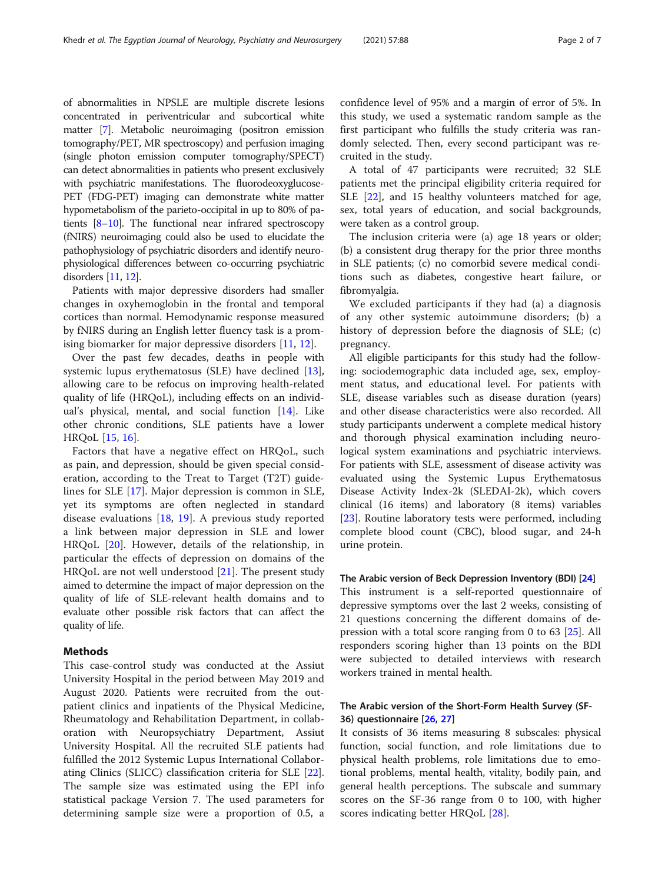of abnormalities in NPSLE are multiple discrete lesions concentrated in periventricular and subcortical white matter [\[7\]](#page-5-0). Metabolic neuroimaging (positron emission tomography/PET, MR spectroscopy) and perfusion imaging (single photon emission computer tomography/SPECT) can detect abnormalities in patients who present exclusively with psychiatric manifestations. The fluorodeoxyglucose-PET (FDG-PET) imaging can demonstrate white matter hypometabolism of the parieto-occipital in up to 80% of patients [\[8](#page-5-0)–[10](#page-5-0)]. The functional near infrared spectroscopy (fNIRS) neuroimaging could also be used to elucidate the pathophysiology of psychiatric disorders and identify neurophysiological differences between co-occurring psychiatric disorders [\[11](#page-5-0), [12](#page-5-0)].

Patients with major depressive disorders had smaller changes in oxyhemoglobin in the frontal and temporal cortices than normal. Hemodynamic response measured by fNIRS during an English letter fluency task is a promising biomarker for major depressive disorders [\[11](#page-5-0), [12](#page-5-0)].

Over the past few decades, deaths in people with systemic lupus erythematosus (SLE) have declined [\[13](#page-5-0)], allowing care to be refocus on improving health-related quality of life (HRQoL), including effects on an individual's physical, mental, and social function  $[14]$  $[14]$ . Like other chronic conditions, SLE patients have a lower HRQoL [[15,](#page-5-0) [16](#page-5-0)].

Factors that have a negative effect on HRQoL, such as pain, and depression, should be given special consideration, according to the Treat to Target (T2T) guidelines for SLE [[17\]](#page-5-0). Major depression is common in SLE, yet its symptoms are often neglected in standard disease evaluations [\[18](#page-5-0), [19\]](#page-5-0). A previous study reported a link between major depression in SLE and lower HRQoL [\[20](#page-5-0)]. However, details of the relationship, in particular the effects of depression on domains of the HRQoL are not well understood [[21\]](#page-5-0). The present study aimed to determine the impact of major depression on the quality of life of SLE-relevant health domains and to evaluate other possible risk factors that can affect the quality of life.

## Methods

This case-control study was conducted at the Assiut University Hospital in the period between May 2019 and August 2020. Patients were recruited from the outpatient clinics and inpatients of the Physical Medicine, Rheumatology and Rehabilitation Department, in collaboration with Neuropsychiatry Department, Assiut University Hospital. All the recruited SLE patients had fulfilled the 2012 Systemic Lupus International Collaborating Clinics (SLICC) classification criteria for SLE [\[22](#page-5-0)]. The sample size was estimated using the EPI info statistical package Version 7. The used parameters for determining sample size were a proportion of 0.5, a

confidence level of 95% and a margin of error of 5%. In this study, we used a systematic random sample as the first participant who fulfills the study criteria was randomly selected. Then, every second participant was recruited in the study.

A total of 47 participants were recruited; 32 SLE patients met the principal eligibility criteria required for SLE [[22\]](#page-5-0), and 15 healthy volunteers matched for age, sex, total years of education, and social backgrounds, were taken as a control group.

The inclusion criteria were (a) age 18 years or older; (b) a consistent drug therapy for the prior three months in SLE patients; (c) no comorbid severe medical conditions such as diabetes, congestive heart failure, or fibromyalgia.

We excluded participants if they had (a) a diagnosis of any other systemic autoimmune disorders; (b) a history of depression before the diagnosis of SLE; (c) pregnancy.

All eligible participants for this study had the following: sociodemographic data included age, sex, employment status, and educational level. For patients with SLE, disease variables such as disease duration (years) and other disease characteristics were also recorded. All study participants underwent a complete medical history and thorough physical examination including neurological system examinations and psychiatric interviews. For patients with SLE, assessment of disease activity was evaluated using the Systemic Lupus Erythematosus Disease Activity Index-2k (SLEDAI-2k), which covers clinical (16 items) and laboratory (8 items) variables [[23\]](#page-5-0). Routine laboratory tests were performed, including complete blood count (CBC), blood sugar, and 24-h urine protein.

### The Arabic version of Beck Depression Inventory (BDI) [\[24\]](#page-5-0)

This instrument is a self-reported questionnaire of depressive symptoms over the last 2 weeks, consisting of 21 questions concerning the different domains of depression with a total score ranging from 0 to 63 [\[25](#page-5-0)]. All responders scoring higher than 13 points on the BDI were subjected to detailed interviews with research workers trained in mental health.

## The Arabic version of the Short-Form Health Survey (SF-36) questionnaire [\[26](#page-5-0), [27\]](#page-5-0)

It consists of 36 items measuring 8 subscales: physical function, social function, and role limitations due to physical health problems, role limitations due to emotional problems, mental health, vitality, bodily pain, and general health perceptions. The subscale and summary scores on the SF-36 range from 0 to 100, with higher scores indicating better HRQoL [[28\]](#page-5-0).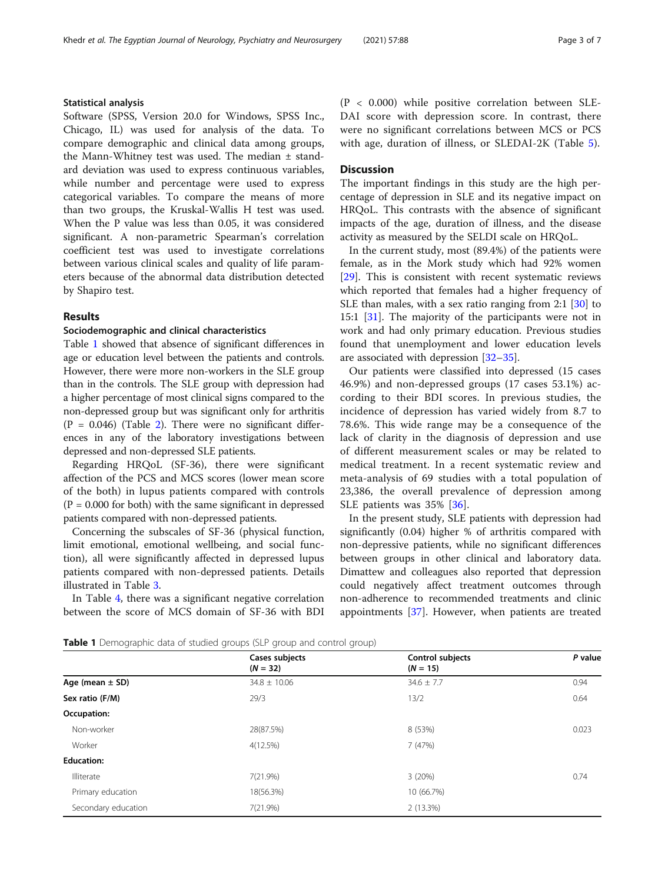## Statistical analysis

Software (SPSS, Version 20.0 for Windows, SPSS Inc., Chicago, IL) was used for analysis of the data. To compare demographic and clinical data among groups, the Mann-Whitney test was used. The median ± standard deviation was used to express continuous variables, while number and percentage were used to express categorical variables. To compare the means of more than two groups, the Kruskal-Wallis H test was used. When the P value was less than 0.05, it was considered significant. A non-parametric Spearman's correlation coefficient test was used to investigate correlations between various clinical scales and quality of life parameters because of the abnormal data distribution detected by Shapiro test.

## Results

### Sociodemographic and clinical characteristics

Table 1 showed that absence of significant differences in age or education level between the patients and controls. However, there were more non-workers in the SLE group than in the controls. The SLE group with depression had a higher percentage of most clinical signs compared to the non-depressed group but was significant only for arthritis  $(P = 0.046)$  (Table [2\)](#page-3-0). There were no significant differences in any of the laboratory investigations between depressed and non-depressed SLE patients.

Regarding HRQoL (SF-36), there were significant affection of the PCS and MCS scores (lower mean score of the both) in lupus patients compared with controls  $(P = 0.000$  for both) with the same significant in depressed patients compared with non-depressed patients.

Concerning the subscales of SF-36 (physical function, limit emotional, emotional wellbeing, and social function), all were significantly affected in depressed lupus patients compared with non-depressed patients. Details illustrated in Table [3](#page-3-0).

In Table [4,](#page-4-0) there was a significant negative correlation between the score of MCS domain of SF-36 with BDI (P < 0.000) while positive correlation between SLE-DAI score with depression score. In contrast, there were no significant correlations between MCS or PCS with age, duration of illness, or SLEDAI-2K (Table [5](#page-4-0)).

## **Discussion**

The important findings in this study are the high percentage of depression in SLE and its negative impact on HRQoL. This contrasts with the absence of significant impacts of the age, duration of illness, and the disease activity as measured by the SELDI scale on HRQoL.

In the current study, most (89.4%) of the patients were female, as in the Mork study which had 92% women [[29\]](#page-5-0). This is consistent with recent systematic reviews which reported that females had a higher frequency of SLE than males, with a sex ratio ranging from 2:1 [\[30](#page-5-0)] to 15:1 [\[31\]](#page-5-0). The majority of the participants were not in work and had only primary education. Previous studies found that unemployment and lower education levels are associated with depression [[32](#page-5-0)–[35](#page-5-0)].

Our patients were classified into depressed (15 cases 46.9%) and non-depressed groups (17 cases 53.1%) according to their BDI scores. In previous studies, the incidence of depression has varied widely from 8.7 to 78.6%. This wide range may be a consequence of the lack of clarity in the diagnosis of depression and use of different measurement scales or may be related to medical treatment. In a recent systematic review and meta-analysis of 69 studies with a total population of 23,386, the overall prevalence of depression among SLE patients was 35% [[36](#page-5-0)].

In the present study, SLE patients with depression had significantly (0.04) higher % of arthritis compared with non-depressive patients, while no significant differences between groups in other clinical and laboratory data. Dimattew and colleagues also reported that depression could negatively affect treatment outcomes through non-adherence to recommended treatments and clinic appointments [\[37](#page-6-0)]. However, when patients are treated

**Table 1** Demographic data of studied groups (SLP group and control group)

|                     | Cases subjects<br>$(N = 32)$ | Control subjects<br>$(N = 15)$ | P value |
|---------------------|------------------------------|--------------------------------|---------|
| Age (mean $\pm$ SD) | $34.8 \pm 10.06$             | $34.6 \pm 7.7$                 | 0.94    |
| Sex ratio (F/M)     | 29/3                         | 13/2                           | 0.64    |
| Occupation:         |                              |                                |         |
| Non-worker          | 28(87.5%)                    | 8 (53%)                        | 0.023   |
| Worker              | 4(12.5%)                     | 7(47%)                         |         |
| <b>Education:</b>   |                              |                                |         |
| Illiterate          | 7(21.9%)                     | 3(20%)                         | 0.74    |
| Primary education   | 18(56.3%)                    | 10 (66.7%)                     |         |
| Secondary education | 7(21.9%)                     | 2(13.3%)                       |         |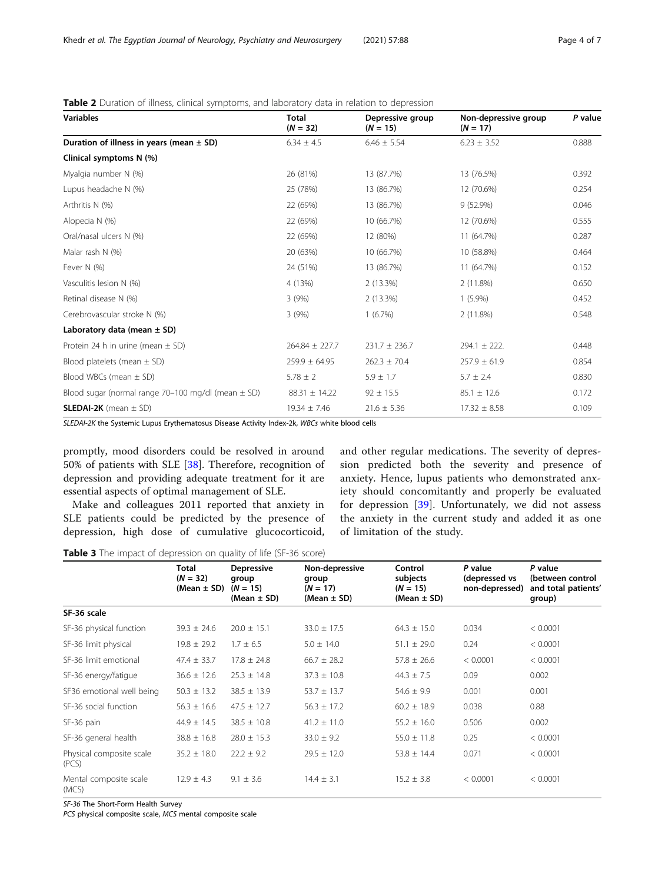| <b>Variables</b>                                         | Total<br>$(N = 32)$ | Depressive group<br>$(N = 15)$ | Non-depressive group<br>$(N = 17)$ | P value |
|----------------------------------------------------------|---------------------|--------------------------------|------------------------------------|---------|
| Duration of illness in years (mean $\pm$ SD)             | $6.34 \pm 4.5$      | $6.46 \pm 5.54$                | $6.23 \pm 3.52$                    | 0.888   |
| Clinical symptoms N (%)                                  |                     |                                |                                    |         |
| Myalgia number N (%)                                     | 26 (81%)            | 13 (87.7%)                     | 13 (76.5%)                         | 0.392   |
| Lupus headache N (%)                                     | 25 (78%)            | 13 (86.7%)                     | 12 (70.6%)                         | 0.254   |
| Arthritis N (%)                                          | 22 (69%)            | 13 (86.7%)                     | 9(52.9%)                           | 0.046   |
| Alopecia N (%)                                           | 22 (69%)            | 10 (66.7%)                     | 12 (70.6%)                         | 0.555   |
| Oral/nasal ulcers N (%)                                  | 22 (69%)            | 12 (80%)                       | 11 (64.7%)                         | 0.287   |
| Malar rash N (%)                                         | 20 (63%)            | 10 (66.7%)                     | 10 (58.8%)                         | 0.464   |
| Fever N (%)                                              | 24 (51%)            | 13 (86.7%)                     | 11 (64.7%)                         | 0.152   |
| Vasculitis lesion N (%)                                  | 4 (13%)             | 2(13.3%)                       | 2(11.8%)                           | 0.650   |
| Retinal disease N (%)                                    | 3(9%)               | 2(13.3%)                       | $1(5.9\%)$                         | 0.452   |
| Cerebrovascular stroke N (%)                             | 3(9%)               | $1(6.7\%)$                     | 2(11.8%)                           | 0.548   |
| Laboratory data (mean $\pm$ SD)                          |                     |                                |                                    |         |
| Protein 24 h in urine (mean $\pm$ SD)                    | $264.84 \pm 227.7$  | $231.7 \pm 236.7$              | $294.1 \pm 222.$                   | 0.448   |
| Blood platelets (mean $\pm$ SD)                          | $259.9 \pm 64.95$   | $262.3 \pm 70.4$               | $257.9 \pm 61.9$                   | 0.854   |
| Blood WBCs (mean $\pm$ SD)                               | $5.78 \pm 2$        | $5.9 \pm 1.7$                  | $5.7 \pm 2.4$                      | 0.830   |
| Blood sugar (normal range $70-100$ mg/dl (mean $\pm$ SD) | $88.31 \pm 14.22$   | $92 \pm 15.5$                  | $85.1 \pm 12.6$                    | 0.172   |
| <b>SLEDAI-2K</b> (mean $\pm$ SD)                         | $19.34 \pm 7.46$    | $21.6 \pm 5.36$                | $17.32 \pm 8.58$                   | 0.109   |

### <span id="page-3-0"></span>Table 2 Duration of illness, clinical symptoms, and laboratory data in relation to depression

SLEDAI-2K the Systemic Lupus Erythematosus Disease Activity Index-2k, WBCs white blood cells

promptly, mood disorders could be resolved in around 50% of patients with SLE [[38\]](#page-6-0). Therefore, recognition of depression and providing adequate treatment for it are essential aspects of optimal management of SLE.

Make and colleagues 2011 reported that anxiety in SLE patients could be predicted by the presence of depression, high dose of cumulative glucocorticoid, and other regular medications. The severity of depression predicted both the severity and presence of anxiety. Hence, lupus patients who demonstrated anxiety should concomitantly and properly be evaluated for depression [\[39](#page-6-0)]. Unfortunately, we did not assess the anxiety in the current study and added it as one of limitation of the study.

|                                   | Total<br>$(N = 32)$<br>$(Mean \pm SD)$ | <b>Depressive</b><br>group<br>$(N = 15)$<br>(Mean $\pm$ SD) | Non-depressive<br>group<br>$(N = 17)$<br>(Mean $\pm$ SD) | Control<br>subjects<br>$(N = 15)$<br>(Mean $\pm$ SD) | P value<br>(depressed vs<br>non-depressed) | P value<br>(between control<br>and total patients'<br>group) |
|-----------------------------------|----------------------------------------|-------------------------------------------------------------|----------------------------------------------------------|------------------------------------------------------|--------------------------------------------|--------------------------------------------------------------|
| SF-36 scale                       |                                        |                                                             |                                                          |                                                      |                                            |                                                              |
| SF-36 physical function           | $39.3 \pm 24.6$                        | $20.0 \pm 15.1$                                             | $33.0 \pm 17.5$                                          | $64.3 \pm 15.0$                                      | 0.034                                      | < 0.0001                                                     |
| SF-36 limit physical              | $19.8 \pm 29.2$                        | $1.7 \pm 6.5$                                               | $5.0 \pm 14.0$                                           | $51.1 \pm 29.0$                                      | 0.24                                       | < 0.0001                                                     |
| SF-36 limit emotional             | $47.4 \pm 33.7$                        | $17.8 \pm 24.8$                                             | $66.7 \pm 28.2$                                          | $57.8 \pm 26.6$                                      | < 0.0001                                   | < 0.0001                                                     |
| SF-36 energy/fatigue              | $36.6 \pm 12.6$                        | $25.3 \pm 14.8$                                             | $37.3 \pm 10.8$                                          | $44.3 \pm 7.5$                                       | 0.09                                       | 0.002                                                        |
| SF36 emotional well being         | $50.3 \pm 13.2$                        | $38.5 \pm 13.9$                                             | $53.7 \pm 13.7$                                          | $54.6 \pm 9.9$                                       | 0.001                                      | 0.001                                                        |
| SF-36 social function             | $56.3 \pm 16.6$                        | $47.5 \pm 12.7$                                             | $56.3 \pm 17.2$                                          | $60.2 \pm 18.9$                                      | 0.038                                      | 0.88                                                         |
| SF-36 pain                        | $44.9 \pm 14.5$                        | $38.5 \pm 10.8$                                             | $41.2 \pm 11.0$                                          | $55.2 \pm 16.0$                                      | 0.506                                      | 0.002                                                        |
| SF-36 general health              | $38.8 \pm 16.8$                        | $28.0 \pm 15.3$                                             | $33.0 \pm 9.2$                                           | $55.0 \pm 11.8$                                      | 0.25                                       | < 0.0001                                                     |
| Physical composite scale<br>(PCS) | $35.2 \pm 18.0$                        | $22.2 \pm 9.2$                                              | $29.5 \pm 12.0$                                          | $53.8 \pm 14.4$                                      | 0.071                                      | < 0.0001                                                     |
| Mental composite scale<br>(MCS)   | $12.9 \pm 4.3$                         | $9.1 \pm 3.6$                                               | $14.4 \pm 3.1$                                           | $15.2 \pm 3.8$                                       | < 0.0001                                   | < 0.0001                                                     |

Table 3 The impact of depression on quality of life (SF-36 score)

SF-36 The Short-Form Health Survey

PCS physical composite scale, MCS mental composite scale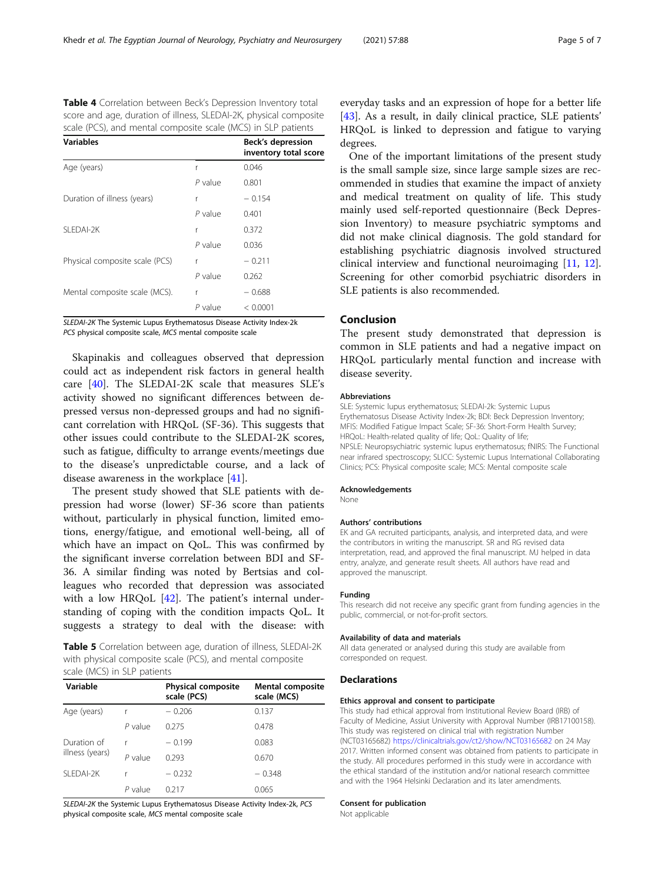<span id="page-4-0"></span>Table 4 Correlation between Beck's Depression Inventory total score and age, duration of illness, SLEDAI-2K, physical composite scale (PCS), and mental composite scale (MCS) in SLP patients

| <b>Variables</b>               |           | Beck's depression<br>inventory total score |
|--------------------------------|-----------|--------------------------------------------|
| Age (years)                    | r         | 0.046                                      |
|                                | $P$ value | 0.801                                      |
| Duration of illness (years)    | r         | $-0.154$                                   |
|                                | $P$ value | 0.401                                      |
| SLEDAI-2K                      | r         | 0.372                                      |
|                                | $P$ value | 0.036                                      |
| Physical composite scale (PCS) | r         | $-0.211$                                   |
|                                | $P$ value | 0.262                                      |
| Mental composite scale (MCS).  | r         | $-0.688$                                   |
|                                | $P$ value | < 0.0001                                   |

SLEDAI-2K The Systemic Lupus Erythematosus Disease Activity Index-2k PCS physical composite scale, MCS mental composite scale

Skapinakis and colleagues observed that depression could act as independent risk factors in general health care [\[40](#page-6-0)]. The SLEDAI-2K scale that measures SLE's activity showed no significant differences between depressed versus non-depressed groups and had no significant correlation with HRQoL (SF-36). This suggests that other issues could contribute to the SLEDAI-2K scores, such as fatigue, difficulty to arrange events/meetings due to the disease's unpredictable course, and a lack of disease awareness in the workplace [[41](#page-6-0)].

The present study showed that SLE patients with depression had worse (lower) SF-36 score than patients without, particularly in physical function, limited emotions, energy/fatigue, and emotional well-being, all of which have an impact on QoL. This was confirmed by the significant inverse correlation between BDI and SF-36. A similar finding was noted by Bertsias and colleagues who recorded that depression was associated with a low HRQoL [\[42](#page-6-0)]. The patient's internal understanding of coping with the condition impacts QoL. It suggests a strategy to deal with the disease: with

Table 5 Correlation between age, duration of illness, SLEDAI-2K with physical composite scale (PCS), and mental composite scale (MCS) in SLP patients

| Variable                       |         | <b>Physical composite</b><br>scale (PCS) | <b>Mental composite</b><br>scale (MCS) |
|--------------------------------|---------|------------------------------------------|----------------------------------------|
| Age (years)                    |         | $-0.206$                                 | 0.137                                  |
|                                | P value | 0.275                                    | 0.478                                  |
| Duration of<br>illness (years) |         | $-0.199$                                 | 0.083                                  |
|                                | P value | 0.293                                    | 0.670                                  |
| SI FDAI-2K                     |         | $-0.232$                                 | $-0.348$                               |
|                                | P value | 0.217                                    | 0.065                                  |

SLEDAI-2K the Systemic Lupus Erythematosus Disease Activity Index-2k, PCS physical composite scale, MCS mental composite scale

everyday tasks and an expression of hope for a better life [[43\]](#page-6-0). As a result, in daily clinical practice, SLE patients' HRQoL is linked to depression and fatigue to varying degrees.

One of the important limitations of the present study is the small sample size, since large sample sizes are recommended in studies that examine the impact of anxiety and medical treatment on quality of life. This study mainly used self-reported questionnaire (Beck Depression Inventory) to measure psychiatric symptoms and did not make clinical diagnosis. The gold standard for establishing psychiatric diagnosis involved structured clinical interview and functional neuroimaging [\[11](#page-5-0), [12](#page-5-0)]. Screening for other comorbid psychiatric disorders in SLE patients is also recommended.

## Conclusion

The present study demonstrated that depression is common in SLE patients and had a negative impact on HRQoL particularly mental function and increase with disease severity.

#### Abbreviations

SLE: Systemic lupus erythematosus; SLEDAI-2k: Systemic Lupus Erythematosus Disease Activity Index-2k; BDI: Beck Depression Inventory; MFIS: Modified Fatigue Impact Scale; SF-36: Short-Form Health Survey; HRQoL: Health-related quality of life; QoL: Quality of life; NPSLE: Neuropsychiatric systemic lupus erythematosus; fNIRS: The Functional near infrared spectroscopy; SLICC: Systemic Lupus International Collaborating Clinics; PCS: Physical composite scale; MCS: Mental composite scale

#### Acknowledgements

None

#### Authors' contributions

EK and GA recruited participants, analysis, and interpreted data, and were the contributors in writing the manuscript. SR and RG revised data interpretation, read, and approved the final manuscript. MJ helped in data entry, analyze, and generate result sheets. All authors have read and approved the manuscript.

#### Funding

This research did not receive any specific grant from funding agencies in the public, commercial, or not-for-profit sectors.

#### Availability of data and materials

All data generated or analysed during this study are available from corresponded on request.

#### **Declarations**

#### Ethics approval and consent to participate

This study had ethical approval from Institutional Review Board (IRB) of Faculty of Medicine, Assiut University with Approval Number (IRB17100158). This study was registered on clinical trial with registration Number (NCT03165682) <https://clinicaltrials.gov/ct2/show/NCT03165682> on 24 May 2017. Written informed consent was obtained from patients to participate in the study. All procedures performed in this study were in accordance with the ethical standard of the institution and/or national research committee and with the 1964 Helsinki Declaration and its later amendments.

#### Consent for publication

Not applicable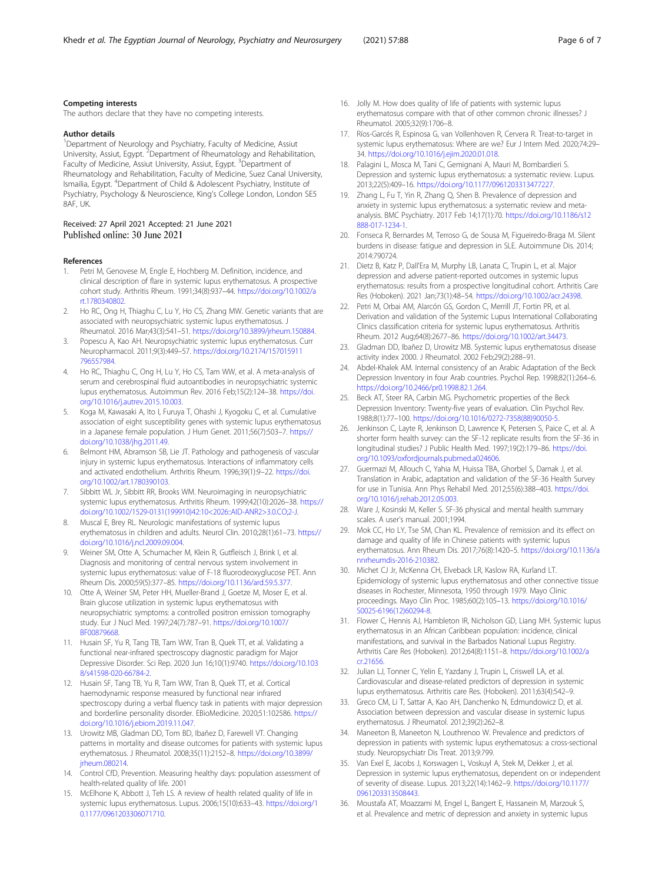#### <span id="page-5-0"></span>Competing interests

The authors declare that they have no competing interests.

#### Author details

<sup>1</sup>Department of Neurology and Psychiatry, Faculty of Medicine, Assiut University, Assiut, Egypt. <sup>2</sup> Department of Rheumatology and Rehabilitation, Faculty of Medicine, Assiut University, Assiut, Egypt. <sup>3</sup>Department of Rheumatology and Rehabilitation, Faculty of Medicine, Suez Canal University, Ismailia, Egypt. <sup>4</sup>Department of Child & Adolescent Psychiatry, Institute of Psychiatry, Psychology & Neuroscience, King's College London, London SE5 8AF, UK.

#### Received: 27 April 2021 Accepted: 21 June 2021 Published online: 30 June 2021

#### References

- 1. Petri M, Genovese M, Engle E, Hochberg M. Definition, incidence, and clinical description of flare in systemic lupus erythematosus. A prospective cohort study. Arthritis Rheum. 1991;34(8):937–44. [https://doi.org/10.1002/a](https://doi.org/10.1002/art.1780340802) [rt.1780340802](https://doi.org/10.1002/art.1780340802).
- 2. Ho RC, Ong H, Thiaghu C, Lu Y, Ho CS, Zhang MW. Genetic variants that are associated with neuropsychiatric systemic lupus erythematosus. J Rheumatol. 2016 Mar;43(3):541–51. [https://doi.org/10.3899/jrheum.150884.](https://doi.org/10.3899/jrheum.150884)
- Popescu A, Kao AH. Neuropsychiatric systemic lupus erythematosus. Curr Neuropharmacol. 2011;9(3):449–57. [https://doi.org/10.2174/157015911](https://doi.org/10.2174/157015911796557984) [796557984](https://doi.org/10.2174/157015911796557984).
- 4. Ho RC, Thiaghu C, Ong H, Lu Y, Ho CS, Tam WW, et al. A meta-analysis of serum and cerebrospinal fluid autoantibodies in neuropsychiatric systemic lupus erythematosus. Autoimmun Rev. 2016 Feb;15(2):124–38. [https://doi.](https://doi.org/10.1016/j.autrev.2015.10.003) [org/10.1016/j.autrev.2015.10.003.](https://doi.org/10.1016/j.autrev.2015.10.003)
- Koga M, Kawasaki A, Ito I, Furuya T, Ohashi J, Kyogoku C, et al. Cumulative association of eight susceptibility genes with systemic lupus erythematosus in a Japanese female population. J Hum Genet. 2011;56(7):503–7. [https://](https://doi.org/10.1038/jhg.2011.49) [doi.org/10.1038/jhg.2011.49](https://doi.org/10.1038/jhg.2011.49).
- 6. Belmont HM, Abramson SB, Lie JT. Pathology and pathogenesis of vascular injury in systemic lupus erythematosus. Interactions of inflammatory cells and activated endothelium. Arthritis Rheum. 1996;39(1):9–22. [https://doi.](https://doi.org/10.1002/art.1780390103) [org/10.1002/art.1780390103.](https://doi.org/10.1002/art.1780390103)
- 7. Sibbitt WL Jr, Sibbitt RR, Brooks WM. Neuroimaging in neuropsychiatric systemic lupus erythematosus. Arthritis Rheum. 1999;42(10):2026–38. [https://](https://doi.org/10.1002/1529-0131(199910)42:10<2026::AID-ANR2>3.0.CO;2-J) [doi.org/10.1002/1529-0131\(199910\)42:10<2026::AID-ANR2>3.0.CO;2-J](https://doi.org/10.1002/1529-0131(199910)42:10<2026::AID-ANR2>3.0.CO;2-J).
- 8. Muscal E, Brey RL. Neurologic manifestations of systemic lupus erythematosus in children and adults. Neurol Clin. 2010;28(1):61–73. [https://](https://doi.org/10.1016/j.ncl.2009.09.004) [doi.org/10.1016/j.ncl.2009.09.004.](https://doi.org/10.1016/j.ncl.2009.09.004)
- Weiner SM, Otte A, Schumacher M, Klein R, Gutfleisch J, Brink I, et al. Diagnosis and monitoring of central nervous system involvement in systemic lupus erythematosus: value of F-18 fluorodeoxyglucose PET. Ann Rheum Dis. 2000;59(5):377–85. <https://doi.org/10.1136/ard.59.5.377>.
- 10. Otte A, Weiner SM, Peter HH, Mueller-Brand J, Goetze M, Moser E, et al. Brain glucose utilization in systemic lupus erythematosus with neuropsychiatric symptoms: a controlled positron emission tomography study. Eur J Nucl Med. 1997;24(7):787–91. [https://doi.org/10.1007/](https://doi.org/10.1007/BF00879668) [BF00879668.](https://doi.org/10.1007/BF00879668)
- 11. Husain SF, Yu R, Tang TB, Tam WW, Tran B, Quek TT, et al. Validating a functional near-infrared spectroscopy diagnostic paradigm for Major Depressive Disorder. Sci Rep. 2020 Jun 16;10(1):9740. [https://doi.org/10.103](https://doi.org/10.1038/s41598-020-66784-2) [8/s41598-020-66784-2](https://doi.org/10.1038/s41598-020-66784-2).
- 12. Husain SF, Tang TB, Yu R, Tam WW, Tran B, Quek TT, et al. Cortical haemodynamic response measured by functional near infrared spectroscopy during a verbal fluency task in patients with major depression and borderline personality disorder. EBioMedicine. 2020;51:102586. [https://](https://doi.org/10.1016/j.ebiom.2019.11.047) [doi.org/10.1016/j.ebiom.2019.11.047.](https://doi.org/10.1016/j.ebiom.2019.11.047)
- 13. Urowitz MB, Gladman DD, Tom BD, Ibañez D, Farewell VT. Changing patterns in mortality and disease outcomes for patients with systemic lupus erythematosus. J Rheumatol. 2008;35(11):2152–8. [https://doi.org/10.3899/](https://doi.org/10.3899/jrheum.080214) [jrheum.080214.](https://doi.org/10.3899/jrheum.080214)
- 14. Control CfD, Prevention. Measuring healthy days: population assessment of health-related quality of life. 2001
- 15. McElhone K, Abbott J, Teh LS. A review of health related quality of life in systemic lupus erythematosus. Lupus. 2006;15(10):633–43. [https://doi.org/1](https://doi.org/10.1177/0961203306071710) [0.1177/0961203306071710](https://doi.org/10.1177/0961203306071710).
- 16. Jolly M. How does quality of life of patients with systemic lupus erythematosus compare with that of other common chronic illnesses? J Rheumatol. 2005;32(9):1706–8.
- 17. Ríos-Garcés R, Espinosa G, van Vollenhoven R, Cervera R. Treat-to-target in systemic lupus erythematosus: Where are we? Eur J Intern Med. 2020;74:29– 34. <https://doi.org/10.1016/j.ejim.2020.01.018>.
- 18. Palagini L, Mosca M, Tani C, Gemignani A, Mauri M, Bombardieri S. Depression and systemic lupus erythematosus: a systematic review. Lupus. 2013;22(5):409–16. <https://doi.org/10.1177/0961203313477227>.
- 19. Zhang L, Fu T, Yin R, Zhang Q, Shen B. Prevalence of depression and anxiety in systemic lupus erythematosus: a systematic review and metaanalysis. BMC Psychiatry. 2017 Feb 14;17(1):70. [https://doi.org/10.1186/s12](https://doi.org/10.1186/s12888-017-1234-1) [888-017-1234-1.](https://doi.org/10.1186/s12888-017-1234-1)
- 20. Fonseca R, Bernardes M, Terroso G, de Sousa M, Figueiredo-Braga M. Silent burdens in disease: fatigue and depression in SLE. Autoimmune Dis. 2014; 2014:790724.
- 21. Dietz B, Katz P, Dall'Era M, Murphy LB, Lanata C, Trupin L, et al. Major depression and adverse patient-reported outcomes in systemic lupus erythematosus: results from a prospective longitudinal cohort. Arthritis Care Res (Hoboken). 2021 Jan;73(1):48–54. <https://doi.org/10.1002/acr.24398>.
- 22. Petri M, Orbai AM, Alarcón GS, Gordon C, Merrill JT, Fortin PR, et al. Derivation and validation of the Systemic Lupus International Collaborating Clinics classification criteria for systemic lupus erythematosus. Arthritis Rheum. 2012 Aug;64(8):2677–86. <https://doi.org/10.1002/art.34473>.
- 23. Gladman DD, Ibañez D, Urowitz MB. Systemic lupus erythematosus disease activity index 2000. J Rheumatol. 2002 Feb;29(2):288–91.
- 24. Abdel-Khalek AM. Internal consistency of an Arabic Adaptation of the Beck Depression Inventory in four Arab countries. Psychol Rep. 1998;82(1):264–6. <https://doi.org/10.2466/pr0.1998.82.1.264>.
- 25. Beck AT, Steer RA, Carbin MG. Psychometric properties of the Beck Depression Inventory: Twenty-five years of evaluation. Clin Psychol Rev. 1988;8(1):77–100. [https://doi.org/10.1016/0272-7358\(88\)90050-5.](https://doi.org/10.1016/0272-7358(88)90050-5)
- 26. Jenkinson C, Layte R, Jenkinson D, Lawrence K, Petersen S, Paice C, et al. A shorter form health survey: can the SF-12 replicate results from the SF-36 in longitudinal studies? J Public Health Med. 1997;19(2):179–86. [https://doi.](https://doi.org/10.1093/oxfordjournals.pubmed.a024606) [org/10.1093/oxfordjournals.pubmed.a024606](https://doi.org/10.1093/oxfordjournals.pubmed.a024606).
- 27. Guermazi M, Allouch C, Yahia M, Huissa TBA, Ghorbel S, Damak J, et al. Translation in Arabic, adaptation and validation of the SF-36 Health Survey for use in Tunisia. Ann Phys Rehabil Med. 2012;55(6):388–403. [https://doi.](https://doi.org/10.1016/j.rehab.2012.05.003) [org/10.1016/j.rehab.2012.05.003](https://doi.org/10.1016/j.rehab.2012.05.003).
- 28. Ware J, Kosinski M, Keller S. SF-36 physical and mental health summary scales. A user's manual. 2001;1994.
- 29. Mok CC, Ho LY, Tse SM, Chan KL. Prevalence of remission and its effect on damage and quality of life in Chinese patients with systemic lupus erythematosus. Ann Rheum Dis. 2017;76(8):1420–5. [https://doi.org/10.1136/a](https://doi.org/10.1136/annrheumdis-2016-210382) [nnrheumdis-2016-210382](https://doi.org/10.1136/annrheumdis-2016-210382).
- 30. Michet CJ Jr, McKenna CH, Elveback LR, Kaslow RA, Kurland LT. Epidemiology of systemic lupus erythematosus and other connective tissue diseases in Rochester, Minnesota, 1950 through 1979. Mayo Clinic proceedings. Mayo Clin Proc. 1985;60(2):105–13. [https://doi.org/10.1016/](https://doi.org/10.1016/S0025-6196(12)60294-8) [S0025-6196\(12\)60294-8](https://doi.org/10.1016/S0025-6196(12)60294-8).
- 31. Flower C, Hennis AJ, Hambleton IR, Nicholson GD, Liang MH. Systemic lupus erythematosus in an African Caribbean population: incidence, clinical manifestations, and survival in the Barbados National Lupus Registry. Arthritis Care Res (Hoboken). 2012;64(8):1151–8. [https://doi.org/10.1002/a](https://doi.org/10.1002/acr.21656) [cr.21656](https://doi.org/10.1002/acr.21656).
- 32. Julian LJ, Tonner C, Yelin E, Yazdany J, Trupin L, Criswell LA, et al. Cardiovascular and disease-related predictors of depression in systemic lupus erythematosus. Arthritis care Res. (Hoboken). 2011;63(4):542–9.
- 33. Greco CM, Li T, Sattar A, Kao AH, Danchenko N, Edmundowicz D, et al. Association between depression and vascular disease in systemic lupus erythematosus. J Rheumatol. 2012;39(2):262–8.
- 34. Maneeton B, Maneeton N, Louthrenoo W. Prevalence and predictors of depression in patients with systemic lupus erythematosus: a cross-sectional study. Neuropsychiatr Dis Treat. 2013;9:799.
- 35. Van Exel E, Jacobs J, Korswagen L, Voskuyl A, Stek M, Dekker J, et al. Depression in systemic lupus erythematosus, dependent on or independent of severity of disease. Lupus. 2013;22(14):1462–9. [https://doi.org/10.1177/](https://doi.org/10.1177/0961203313508443) [0961203313508443](https://doi.org/10.1177/0961203313508443).
- 36. Moustafa AT, Moazzami M, Engel L, Bangert E, Hassanein M, Marzouk S, et al. Prevalence and metric of depression and anxiety in systemic lupus